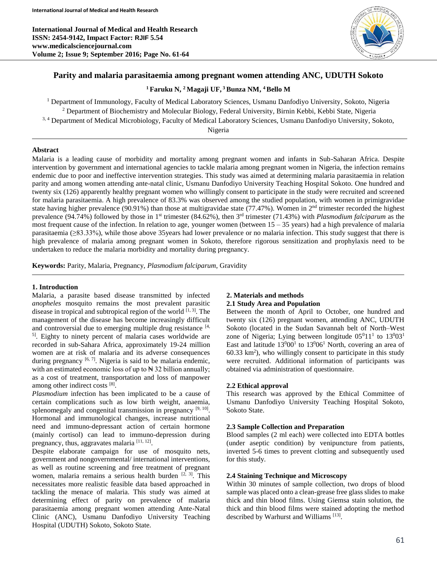**International Journal of Medical and Health Research ISSN: 2454-9142, Impact Factor: RJIF 5.54 www.medicalsciencejournal.com Volume 2; Issue 9; September 2016; Page No. 61-64**



# **Parity and malaria parasitaemia among pregnant women attending ANC, UDUTH Sokoto**

## **<sup>1</sup> Faruku N, <sup>2</sup> Magaji UF, <sup>3</sup> Bunza NM, <sup>4</sup>Bello M**

<sup>1</sup> Department of Immunology, Faculty of Medical Laboratory Sciences, Usmanu Danfodiyo University, Sokoto, Nigeria <sup>2</sup> Department of Biochemistry and Molecular Biology, Federal University, Birnin Kebbi, Kebbi State, Nigeria 3, 4 Department of Medical Microbiology, Faculty of Medical Laboratory Sciences, Usmanu Danfodiyo University, Sokoto, Nigeria

## **Abstract**

Malaria is a leading cause of morbidity and mortality among pregnant women and infants in Sub-Saharan Africa. Despite intervention by government and international agencies to tackle malaria among pregnant women in Nigeria, the infection remains endemic due to poor and ineffective intervention strategies. This study was aimed at determining malaria parasitaemia in relation parity and among women attending ante-natal clinic, Usmanu Danfodiyo University Teaching Hospital Sokoto. One hundred and twenty six (126) apparently healthy pregnant women who willingly consent to participate in the study were recruited and screened for malaria parasitaemia. A high prevalence of 83.3% was observed among the studied population, with women in primigravidae state having higher prevalence (90.91%) than those at multigravidae state (77.47%). Women in  $2<sup>nd</sup>$  trimester recorded the highest prevalence (94.74%) followed by those in 1<sup>st</sup> trimester (84.62%), then 3<sup>rd</sup> trimester (71.43%) with *Plasmodium falciparum* as the most frequent cause of the infection. In relation to age, younger women (between 15 – 35 years) had a high prevalence of malaria parasitaemia (≥83.33%), while those above 35years had lower prevalence or no malaria infection. This study suggest that there is high prevalence of malaria among pregnant women in Sokoto, therefore rigorous sensitization and prophylaxis need to be undertaken to reduce the malaria morbidity and mortality during pregnancy.

**Keywords:** Parity, Malaria, Pregnancy, *Plasmodium falciparum*, Gravidity

#### **1. Introduction**

Malaria, a parasite based disease transmitted by infected *anopheles* mosquito remains the most prevalent parasitic disease in tropical and subtropical region of the world  $^{[1, 3]}$ . The management of the disease has become increasingly difficult and controversial due to emerging multiple drug resistance  $[4, 6]$ 5] . Eighty to ninety percent of malaria cases worldwide are recorded in sub-Sahara Africa, approximately 19-24 million women are at risk of malaria and its adverse consequences during pregnancy  $[6, 7]$ . Nigeria is said to be malaria endemic, with an estimated economic loss of up to  $\forall$  32 billion annually; as a cost of treatment, transportation and loss of manpower among other indirect costs [8].

*Plasmodium* infection has been implicated to be a cause of certain complications such as low birth weight, anaemia, splenomegaly and congenital transmission in pregnancy  $[9, 10]$ . Hormonal and immunological changes, increase nutritional need and immuno-depressant action of certain hormone (mainly cortisol) can lead to immuno-depression during pregnancy, thus, aggravates malaria [11, 12].

Despite elaborate campaign for use of mosquito nets, government and nongovernmental/ international interventions, as well as routine screening and free treatment of pregnant women, malaria remains a serious health burden  $[2, 3]$ . This necessitates more realistic feasible data based approached in tackling the menace of malaria. This study was aimed at determining effect of parity on prevalence of malaria parasitaemia among pregnant women attending Ante-Natal Clinic (ANC), Usmanu Danfodiyo University Teaching Hospital (UDUTH) Sokoto, Sokoto State.

# **2. Materials and methods**

**2.1 Study Area and Population**

Between the month of April to October, one hundred and twenty six (126) pregnant women, attending ANC, UDUTH Sokoto (located in the Sudan Savannah belt of North–West zone of Nigeria; Lying between longitude  $05^011^1$  to  $13^003^1$ East and latitude  $13^{0}00^{1}$  to  $13^{0}06^{1}$  North, covering an area of 60.33 km<sup>2</sup> ), who willingly consent to participate in this study were recruited. Additional information of participants was obtained via administration of questionnaire.

#### **2.2 Ethical approval**

This research was approved by the Ethical Committee of Usmanu Danfodiyo University Teaching Hospital Sokoto, Sokoto State.

#### **2.3 Sample Collection and Preparation**

Blood samples (2 ml each) were collected into EDTA bottles (under aseptic condition) by venipuncture from patients, inverted 5-6 times to prevent clotting and subsequently used for this study.

### **2.4 Staining Technique and Microscopy**

Within 30 minutes of sample collection, two drops of blood sample was placed onto a clean-grease free glass slides to make thick and thin blood films. Using Giemsa stain solution, the thick and thin blood films were stained adopting the method described by Warhurst and Williams<sup>[13]</sup>.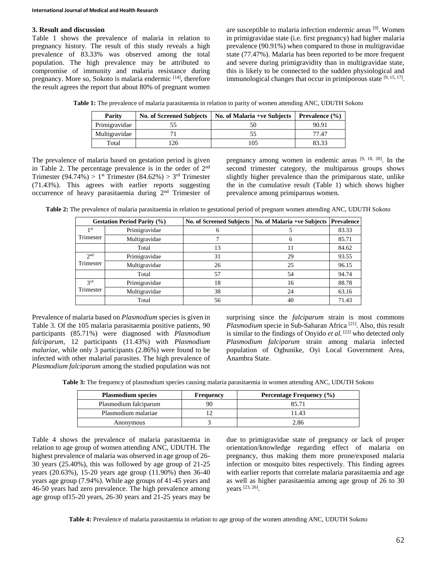## **3. Result and discussion**

Table 1 shows the prevalence of malaria in relation to pregnancy history. The result of this study reveals a high prevalence of 83.33% was observed among the total population. The high prevalence may be attributed to compromise of immunity and malaria resistance during pregnancy. More so, Sokoto is malaria endermic [14], therefore the result agrees the report that about 80% of pregnant women

are susceptible to malaria infection endermic areas [9]. Women in primigravidae state (i.e. first pregnancy) had higher malaria prevalence (90.91%) when compared to those in multigravidae state (77.47%). Malaria has been reported to be more frequent and severe during primigravidity than in multigravidae state, this is likely to be connected to the sudden physiological and immunological changes that occur in primiporous state [9, 15, 17].

**Table 1:** The prevalence of malaria parasitaemia in relation to parity of women attending ANC, UDUTH Sokoto

| Parity        | <b>No. of Screened Subjects</b> | No. of Malaria +ve Subjects | <b>Prevalence</b> $(\% )$ |
|---------------|---------------------------------|-----------------------------|---------------------------|
| Primigravidae |                                 |                             | 90.91                     |
| Multigravidae |                                 |                             | 77.47                     |
| Total         | 26                              | 105                         | 83.33                     |

The prevalence of malaria based on gestation period is given in Table 2. The percentage prevalence is in the order of  $2<sup>nd</sup>$ Trimester (94.74%) > 1<sup>st</sup> Trimester (84.62%) > 3<sup>rd</sup> Trimester (71.43%). This agrees with earlier reports suggesting occurrence of heavy parasitaemia during 2nd Trimester of pregnancy among women in endemic areas  $[9, 18, 20]$ . In the second trimester category, the multiparous groups shows slightly higher prevalence than the primiparous state, unlike the in the cumulative result (Table 1) which shows higher prevalence among primiparous women.

**Table 2:** The prevalence of malaria parasitaemia in relation to gestational period of pregnant women attending ANC, UDUTH Sokoto

| <b>Gestation Period Parity (%)</b> |               | <b>No. of Screened Subjects</b> | No. of Malaria +ve Subjects   Prevalence |       |
|------------------------------------|---------------|---------------------------------|------------------------------------------|-------|
| 1 <sub>st</sub>                    | Primigravidae |                                 |                                          | 83.33 |
| Trimester                          | Multigravidae |                                 | 6                                        | 85.71 |
|                                    | Total         | 13                              | 11                                       | 84.62 |
| 2 <sub>nd</sub><br>Trimester       | Primigravidae | 31                              | 29                                       | 93.55 |
|                                    | Multigravidae | 26                              | 25                                       | 96.15 |
|                                    | Total         | 57                              | 54                                       | 94.74 |
| 2rd<br>Trimester                   | Primigravidae | 18                              | 16                                       | 88.78 |
|                                    | Multigravidae | 38                              | 24                                       | 63.16 |
|                                    | Total         | 56                              | 40                                       | 71.43 |

Prevalence of malaria based on *Plasmodium* species is given in Table 3. Of the 105 malaria parasitaemia positive patients, 90 participants (85.71%) were diagnosed with *Plasmodium falciparum*, 12 participants (11.43%) with *Plasmodium malariae*, while only 3 participants (2.86%) were found to be infected with other malarial parasites. The high prevalence of *Plasmodium falciparum* among the studied population was not surprising since the *falciparum* strain is most commons Plasmodium specie in Sub-Saharan Africa<sup>[21]</sup>. Also, this result is similar to the findings of Onyido *et al.* [22] who detected only *Plasmodium falciparum* strain among malaria infected population of Ogbunike, Oyi Local Government Area, Anambra State.

**Table 3:** The frequency of plasmodium species causing malaria parasitaemia in women attending ANC, UDUTH Sokoto

| <b>Plasmodium species</b> | Frequency | Percentage Frequency (%) |  |
|---------------------------|-----------|--------------------------|--|
| Plasmodium falciparum     |           | 85.71                    |  |
| Plasmodium malariae       |           | 11.43                    |  |
| Anonymous                 |           | 2.86                     |  |

Table 4 shows the prevalence of malaria parasitaemia in relation to age group of women attending ANC, UDUTH. The highest prevalence of malaria was observed in age group of 26- 30 years (25.40%), this was followed by age group of 21-25 years (20.63%), 15-20 years age group (11.90%) then 36-40 years age group (7.94%). While age groups of 41-45 years and 46-50 years had zero prevalence. The high prevalence among age group of15-20 years, 26-30 years and 21-25 years may be

due to primigravidae state of pregnancy or lack of proper orientation/knowledge regarding effect of malaria on pregnancy, thus making them more prone/exposed malaria infection or mosquito bites respectively. This finding agrees with earlier reports that correlate malaria parasitaemia and age as well as higher parasitaemia among age group of 26 to 30 years [23, 26] .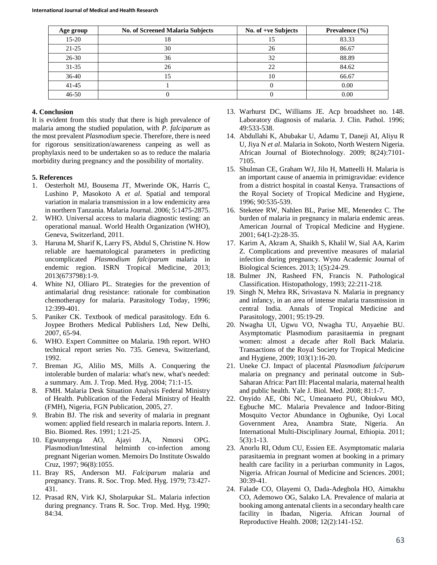| Age group | <b>No. of Screened Malaria Subjects</b> | No. of +ve Subjects | Prevalence $(\% )$ |
|-----------|-----------------------------------------|---------------------|--------------------|
| $15 - 20$ | 18                                      |                     | 83.33              |
| $21 - 25$ | 30                                      | 26                  | 86.67              |
| $26 - 30$ | 36                                      | 32                  | 88.89              |
| $31 - 35$ | 26                                      | 22                  | 84.62              |
| $36-40$   | 15                                      | 10                  | 66.67              |
| $41 - 45$ |                                         |                     | 0.00               |
| $46 - 50$ | U                                       |                     | 0.00               |

# **4. Conclusion**

It is evident from this study that there is high prevalence of malaria among the studied population, with *P. falciparum* as the most prevalent *Plasmodium* specie. Therefore, there is need for rigorous sensitization/awareness canpeing as well as prophylaxis need to be undertaken so as to reduce the malaria morbidity during pregnancy and the possibility of mortality.

# **5. References**

- 1. Oesterholt MJ, Bousema JT, Mwerinde OK, Harris C, Lushino P, Masokoto A *et al*. Spatial and temporal variation in malaria transmission in a low endemicity area in northern Tanzania. Malaria Journal. 2006; 5:1475-2875.
- 2. WHO. Universal access to malaria diagnostic testing: an operational manual. World Health Organization (WHO), Geneva, Switzerland, 2011.
- 3. Haruna M, Sharif K, Larry FS, Abdul S, Christine N. How reliable are haematological parameters in predicting uncomplicated *Plasmodium falciparum* malaria in endemic region. ISRN Tropical Medicine, 2013; 2013(673798):1-9.
- 4. White NJ, Olliaro PL. Strategies for the prevention of antimalarial drug resistance: rationale for combination chemotherapy for malaria. Parasitology Today, 1996; 12:399-401.
- 5. Paniker CK. Textbook of medical parasitology. Edn 6. Joypee Brothers Medical Publishers Ltd, New Delhi, 2007, 65-94.
- 6. WHO. Expert Committee on Malaria. 19th report. WHO technical report series No. 735. Geneva, Switzerland, 1992.
- 7. Breman JG, Alilio MS, Mills A. Conquering the intolerable burden of malaria: what's new, what's needed: a summary. Am. J. Trop. Med. Hyg. 2004; 71:1-15.
- 8. FMH. Malaria Desk Situation Analysis Federal Ministry of Health. Publication of the Federal Ministry of Health (FMH), Nigeria*,* FGN Publication, 2005, 27.
- *9.* Brabin BJ. The risk and severity of malaria in pregnant women: applied field research in malaria reports. Intern. J. Bio. Biomed. Res. 1991; 1:21-25.
- 10. Egwunyenga AO, Ajayi JA, Nmorsi OPG. Plasmodiun/Intestinal helminth co-infection among pregnant Nigerian women. Memoirs Do Institute Oswaldo Cruz, 1997; 96(8):1055.
- 11. Bray RS, Anderson MJ. *Falciparum* malaria and pregnancy. Trans. R. Soc. Trop. Med. Hyg. 1979; 73:427- 431.
- 12. Prasad RN, Virk KJ, Sholarpukar SL. Malaria infection during pregnancy. Trans R. Soc. Trop. Med. Hyg. 1990; 84:34.
- 13. Warhurst DC, Williams JE. Acp broadsheet no. 148. Laboratory diagnosis of malaria. J. Clin. Pathol. 1996; 49:533-538.
- 14. Abdullahi K, Abubakar U, Adamu T, Daneji AI, Aliyu R U, Jiya N *et al*. Malaria in Sokoto, North Western Nigeria. African Journal of Biotechnology. 2009; 8(24):7101- 7105.
- 15. Shulman CE, Graham WJ, Jilo H, Matteelli H. Malaria is an important cause of anaemia in primigravidae: evidence from a district hospital in coastal Kenya. Transactions of the Royal Society of Tropical Medicine and Hygiene, 1996; 90:535-539.
- 16. Steketee RW, Nahlen BL, Parise ME, Menendez C. The burden of malaria in pregnancy in malaria endemic areas. American Journal of Tropical Medicine and Hygiene. 2001; 64(1-2):28-35.
- 17. Karim A, Akram A, Shaikh S, Khalil W, Sial AA, Karim Z. Complications and preventive measures of malarial infection during pregnancy. Wyno Academic Journal of Biological Sciences. 2013; 1(5):24-29.
- 18. Bulmer JN, Rasheed FN, Francis N. Pathological Classification. Histopathology, 1993; 22:211-218.
- 19. Singh N, Mehra RK, Srivastava N. Malaria in pregnancy and infancy, in an area of intense malaria transmission in central India. Annals of Tropical Medicine and Parasitology, 2001; 95:19-29.
- 20. Nwagha UI, Ugwu VO, Nwagha TU, Anyaehie BU. Asymptomatic Plasmodium parasitaemia in pregnant women: almost a decade after Roll Back Malaria. Transactions of the Royal Society for Tropical Medicine and Hygiene, 2009; 103(1):16-20.
- 21. Uneke CJ. Impact of placental *Plasmodium falciparum* malaria on pregnancy and perinatal outcome in Sub-Saharan Africa: Part III: Placental malaria, maternal health and public health. Yale J. Biol. Med. 2008; 81:1-7.
- 22. Onyido AE, Obi NC, Umeanaeto PU, Obiukwu MO, Egbuche MC. Malaria Prevalence and Indoor-Biting Mosquito Vector Abundance in Ogbunike, Oyi Local Government Area, Anambra State, Nigeria. An International Multi-Disciplinary Journal, Ethiopia. 2011; 5(3):1-13.
- 23. Anorlu RI, Odum CU, Essien EE. Asymptomatic malaria parasitaemia in pregnant women at booking in a primary health care facility in a periurban community in Lagos, Nigeria. African Journal of Medicine and Sciences. 2001; 30:39-41.
- 24. Falade CO, Olayemi O, Dada-Adegbola HO, Aimakhu CO, Ademowo OG, Salako LA. Prevalence of malaria at booking among antenatal clients in a secondary health care facility in Ibadan, Nigeria. African Journal of Reproductive Health. 2008; 12(2):141-152.